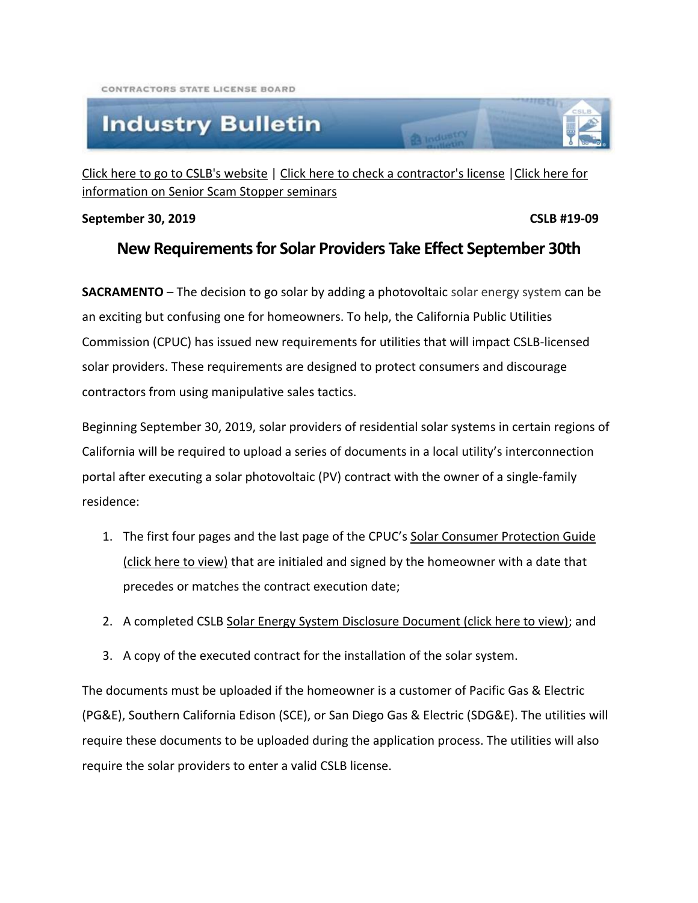## **Industry Bulletin**

[Click here to go to CSLB's website](http://www.cslb.ca.gov/) | [Click here to check a contractor's license](http://www.checkthelicensefirst.com/) | Click here for [information on Senior Scam Stopper seminars](http://www.seniorscamstopper.com/)

## **September 30, 2019 CSLB #19-09**

## **New Requirements for Solar Providers Take Effect September 30th**

**Ca** Industry

**SACRAMENTO** – The decision to go solar by adding a photovoltaic solar energy system can be an exciting but confusing one for homeowners. To help, the California Public Utilities Commission (CPUC) has issued new requirements for utilities that will impact CSLB-licensed solar providers. These requirements are designed to protect consumers and discourage contractors from using manipulative sales tactics.

Beginning September 30, 2019, solar providers of residential solar systems in certain regions of California will be required to upload a series of documents in a local utility's interconnection portal after executing a solar photovoltaic (PV) contract with the owner of a single-family residence:

- 1. The first four pages and the last page of the CPUC's Solar Consumer Protection Guide [\(click here to view\)](https://www.cpuc.ca.gov/uploadedFiles/CPUC_Public_Website/Content/Utilities_and_Industries/Energy_-_Electricity_and_Natural_Gas/California%20Solar%20Consumer%20Protection%20Guide%20-%20July%202019.pdf) that are initialed and signed by the homeowner with a date that precedes or matches the contract execution date;
- 2. A completed CSLB [Solar Energy System Disclosure Document \(click here to view\);](https://www.cslb.ca.gov/Resources/Contractors/SolarDisclosureDoc.pdf) and
- 3. A copy of the executed contract for the installation of the solar system.

The documents must be uploaded if the homeowner is a customer of Pacific Gas & Electric (PG&E), Southern California Edison (SCE), or San Diego Gas & Electric (SDG&E). The utilities will require these documents to be uploaded during the application process. The utilities will also require the solar providers to enter a valid CSLB license.